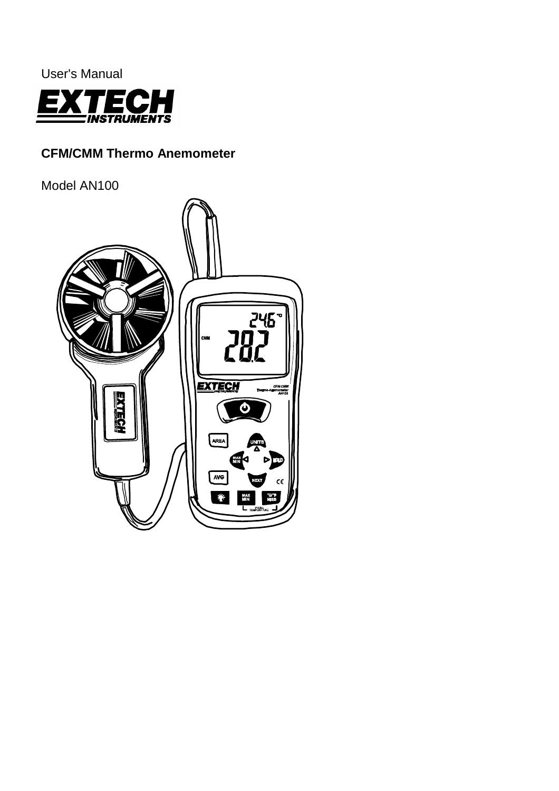

# **CFM/CMM Thermo Anemometer**

Model AN100

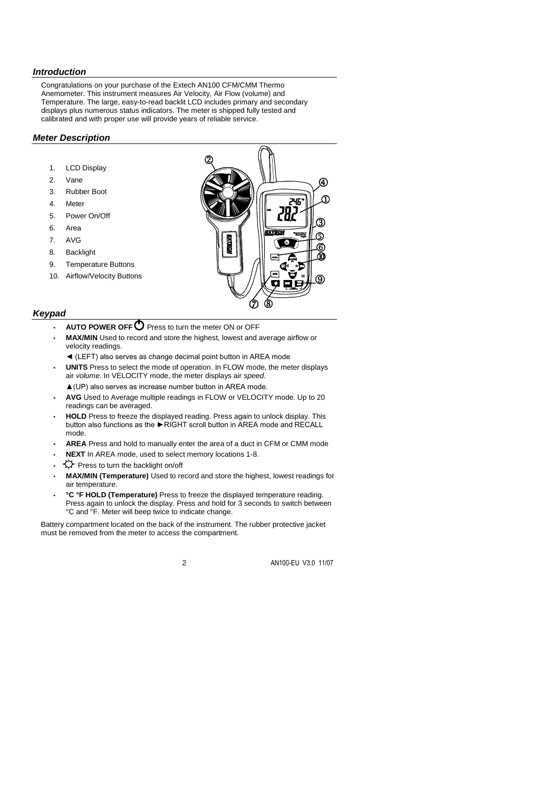## *Introduction*

Congratulations on your purchase of the Extech AN100 CFM/CMM Thermo Anemometer. This instrument measures Air Velocity, Air Flow (volume) and Temperature. The large, easy-to-read backlit LCD includes primary and secondary displays plus numerous status indicators. The meter is shipped fully tested and calibrated and with proper use will provide years of reliable service.

## *Meter Description*

- 1. LCD Display
- 2. Vane
- 3. Rubber Boot
- 4. Meter
- 5. Power On/Off
- 6. Area
- 7. AVG
- 8. Backlight
- 9. Temperature Buttons
- 10. Airflow/Velocity Buttons



## *Keypad*

- **AUTO POWER OFF** Press to turn the meter ON or OFF
- **MAX/MIN** Used to record and store the highest, lowest and average airflow or velocity readings.
	- ◄ (LEFT) also serves as change decimal point button in AREA mode
- **UNITS** Press to select the mode of operation. In FLOW mode, the meter displays air *volume*. In VELOCITY mode, the meter displays air *speed*.
	- ▲(UP) also serves as increase number button in AREA mode.
- **AVG** Used to Average multiple readings in FLOW or VELOCITY mode. Up to 20 readings can be averaged.
- **HOLD** Press to freeze the displayed reading. Press again to unlock display. This button also functions as the ►RIGHT scroll button in AREA mode and RECALL mode.
- **AREA** Press and hold to manually enter the area of a duct in CFM or CMM mode
- **NEXT** In AREA mode, used to select memory locations 1-8.
- $\cdot$   $\leftrightarrow$  Press to turn the backlight on/off
- **MAX/MIN (Temperature)** Used to record and store the highest, lowest readings for air temperature.
- **°C °F HOLD (Temperature)** Press to freeze the displayed temperature reading. Press again to unlock the display. Press and hold for 3 seconds to switch between °C and °F. Meter will beep twice to indicate change.

Battery compartment located on the back of the instrument. The rubber protective jacket must be removed from the meter to access the compartment.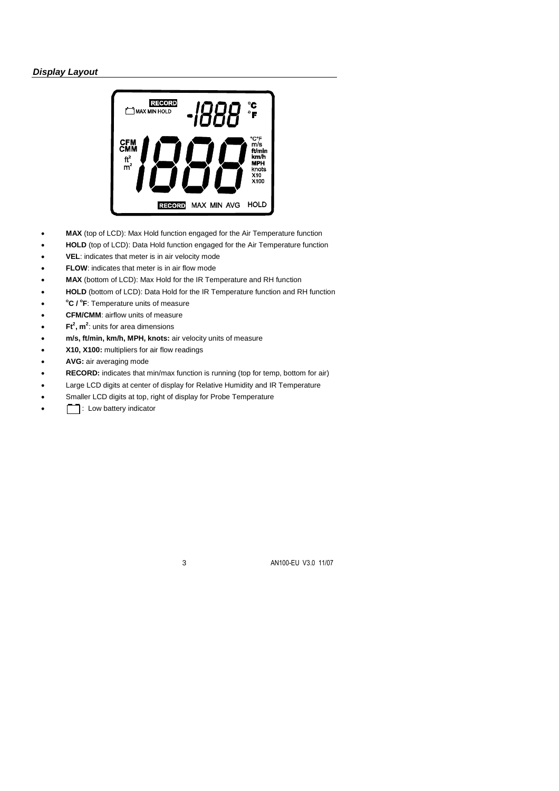# *Display Layout*



- **MAX** (top of LCD): Max Hold function engaged for the Air Temperature function
- **HOLD** (top of LCD): Data Hold function engaged for the Air Temperature function
- **VEL**: indicates that meter is in air velocity mode
- **FLOW**: indicates that meter is in air flow mode
- **MAX** (bottom of LCD): Max Hold for the IR Temperature and RH function
- **HOLD** (bottom of LCD): Data Hold for the IR Temperature function and RH function
- $\bullet$ **<sup>o</sup>C / <sup>o</sup> F**: Temperature units of measure
- **• CFM/CMM**: airflow units of measure
- **Ft<sup>2</sup> , m<sup>2</sup>** : units for area dimensions
- **m/s, ft/min, km/h, MPH, knots:** air velocity units of measure
- **X10, X100:** multipliers for air flow readings
- **AVG:** air averaging mode
- **RECORD:** indicates that min/max function is running (top for temp, bottom for air)
- Large LCD digits at center of display for Relative Humidity and IR Temperature
- Smaller LCD digits at top, right of display for Probe Temperature
- : Low battery indicator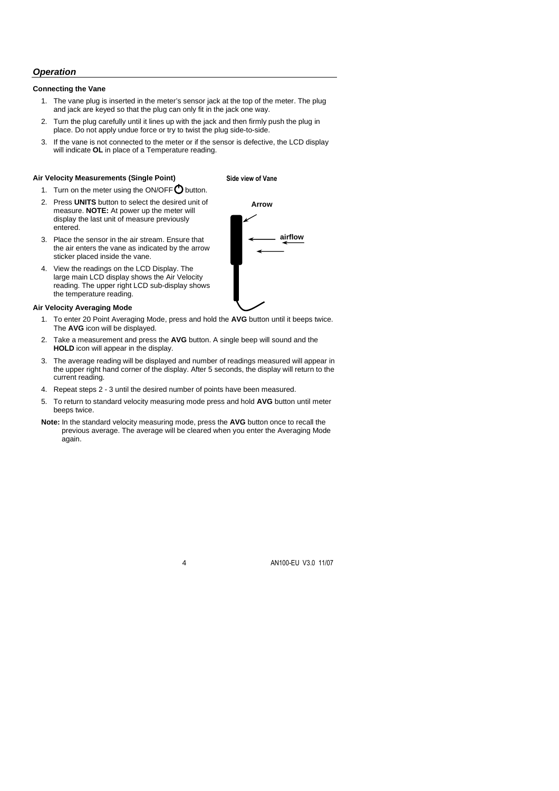# *Operation*

### **Connecting the Vane**

- 1. The vane plug is inserted in the meter's sensor jack at the top of the meter. The plug and jack are keyed so that the plug can only fit in the jack one way.
- 2. Turn the plug carefully until it lines up with the jack and then firmly push the plug in place. Do not apply undue force or try to twist the plug side-to-side.
- 3. If the vane is not connected to the meter or if the sensor is defective, the LCD display will indicate **OL** in place of a Temperature reading.

## **Air Velocity Measurements (Single Point)**

## **Side view of Vane**

- 1. Turn on the meter using the ON/OFF  $\bigcirc$  button.
- 2. Press **UNITS** button to select the desired unit of measure. **NOTE:** At power up the meter will display the last unit of measure previously entered.
- 3. Place the sensor in the air stream. Ensure that the air enters the vane as indicated by the arrow sticker placed inside the vane.
- 4. View the readings on the LCD Display. The large main LCD display shows the Air Velocity reading. The upper right LCD sub-display shows the temperature reading.

#### **Air Velocity Averaging Mode**

- 1. To enter 20 Point Averaging Mode, press and hold the **AVG** button until it beeps twice. The **AVG** icon will be displayed.
- 2. Take a measurement and press the **AVG** button. A single beep will sound and the **HOLD** icon will appear in the display.
- 3. The average reading will be displayed and number of readings measured will appear in the upper right hand corner of the display. After 5 seconds, the display will return to the current reading.
- 4. Repeat steps 2 3 until the desired number of points have been measured.
- 5. To return to standard velocity measuring mode press and hold **AVG** button until meter beeps twice.
- **Note:** In the standard velocity measuring mode, press the **AVG** button once to recall the previous average. The average will be cleared when you enter the Averaging Mode again.

4 AN100-EU V3.0 11/07

**airflow Arrow**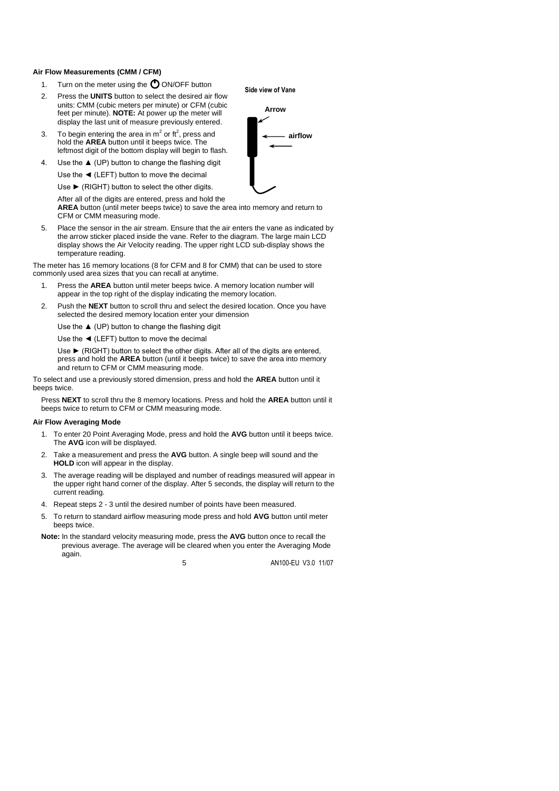#### **Air Flow Measurements (CMM / CFM)**

- 1. Turn on the meter using the  $\bigcirc$  ON/OFF button
- 2. Press the **UNITS** button to select the desired air flow units: CMM (cubic meters per minute) or CFM (cubic feet per minute). **NOTE:** At power up the meter will display the last unit of measure previously entered.
- 3. To begin entering the area in  $m^2$  or ft<sup>2</sup>, press and hold the **AREA** button until it beeps twice. The leftmost digit of the bottom display will begin to flash.
- 4. Use the  $\triangle$  (UP) button to change the flashing digit Use the ◄ (LEFT) button to move the decimal

Use ► (RIGHT) button to select the other digits.

After all of the digits are entered, press and hold the

**AREA** button (until meter beeps twice) to save the area into memory and return to CFM or CMM measuring mode.

5. Place the sensor in the air stream. Ensure that the air enters the vane as indicated by the arrow sticker placed inside the vane. Refer to the diagram. The large main LCD display shows the Air Velocity reading. The upper right LCD sub-display shows the temperature reading.

The meter has 16 memory locations (8 for CFM and 8 for CMM) that can be used to store commonly used area sizes that you can recall at anytime.

- 1. Press the **AREA** button until meter beeps twice. A memory location number will appear in the top right of the display indicating the memory location.
- 2. Push the **NEXT** button to scroll thru and select the desired location. Once you have selected the desired memory location enter your dimension

Use the  $\triangle$  (UP) button to change the flashing digit

Use the ◄ (LEFT) button to move the decimal

Use ► (RIGHT) button to select the other digits. After all of the digits are entered, press and hold the **AREA** button (until it beeps twice) to save the area into memory and return to CFM or CMM measuring mode.

To select and use a previously stored dimension, press and hold the **AREA** button until it beeps twice.

Press **NEXT** to scroll thru the 8 memory locations. Press and hold the **AREA** button until it beeps twice to return to CFM or CMM measuring mode.

#### **Air Flow Averaging Mode**

- 1. To enter 20 Point Averaging Mode, press and hold the **AVG** button until it beeps twice. The **AVG** icon will be displayed.
- 2. Take a measurement and press the **AVG** button. A single beep will sound and the **HOLD** icon will appear in the display.
- 3. The average reading will be displayed and number of readings measured will appear in the upper right hand corner of the display. After 5 seconds, the display will return to the current reading.
- 4. Repeat steps 2 3 until the desired number of points have been measured.
- 5. To return to standard airflow measuring mode press and hold **AVG** button until meter beeps twice.
- **Note:** In the standard velocity measuring mode, press the **AVG** button once to recall the previous average. The average will be cleared when you enter the Averaging Mode again.

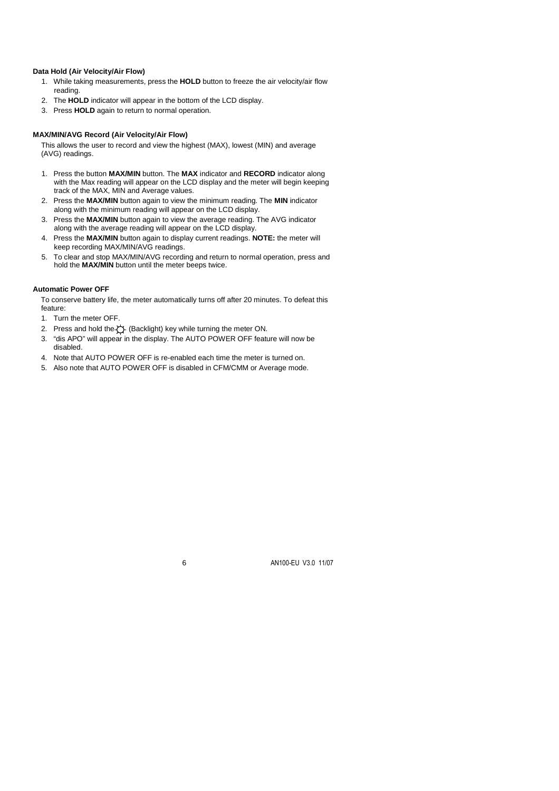## **Data Hold (Air Velocity/Air Flow)**

- 1. While taking measurements, press the **HOLD** button to freeze the air velocity/air flow reading.
- 2. The **HOLD** indicator will appear in the bottom of the LCD display.
- 3. Press **HOLD** again to return to normal operation.

#### **MAX/MIN/AVG Record (Air Velocity/Air Flow)**

This allows the user to record and view the highest (MAX), lowest (MIN) and average (AVG) readings.

- 1. Press the button **MAX/MIN** button. The **MAX** indicator and **RECORD** indicator along with the Max reading will appear on the LCD display and the meter will begin keeping track of the MAX, MIN and Average values.
- 2. Press the **MAX/MIN** button again to view the minimum reading. The **MIN** indicator along with the minimum reading will appear on the LCD display.
- 3. Press the **MAX/MIN** button again to view the average reading. The AVG indicator along with the average reading will appear on the LCD display.
- 4. Press the **MAX/MIN** button again to display current readings. **NOTE:** the meter will keep recording MAX/MIN/AVG readings.
- 5. To clear and stop MAX/MIN/AVG recording and return to normal operation, press and hold the **MAX/MIN** button until the meter beeps twice.

#### **Automatic Power OFF**

To conserve battery life, the meter automatically turns off after 20 minutes. To defeat this feature:

- 1. Turn the meter OFF.
- 2. Press and hold the  $\bigcirc$  (Backlight) key while turning the meter ON.
- 3. "dis APO" will appear in the display. The AUTO POWER OFF feature will now be disabled.
- 4. Note that AUTO POWER OFF is re-enabled each time the meter is turned on.
- 5. Also note that AUTO POWER OFF is disabled in CFM/CMM or Average mode.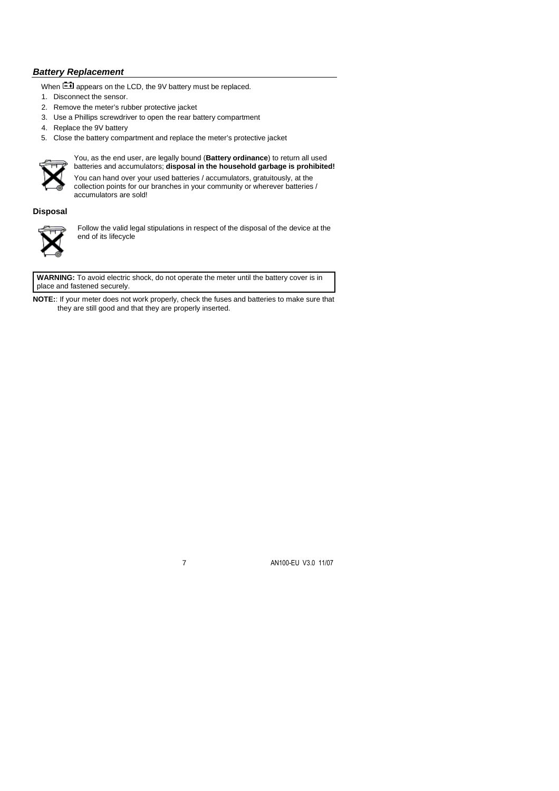# *Battery Replacement*

When  $\mathbb{L}$  appears on the LCD, the 9V battery must be replaced.

- 1. Disconnect the sensor.
- 2. Remove the meter's rubber protective jacket
- 3. Use a Phillips screwdriver to open the rear battery compartment
- 4. Replace the 9V battery
- 5. Close the battery compartment and replace the meter's protective jacket



You, as the end user, are legally bound (**Battery ordinance**) to return all used batteries and accumulators; **disposal in the household garbage is prohibited!**

You can hand over your used batteries / accumulators, gratuitously, at the collection points for our branches in your community or wherever batteries / accumulators are sold!

**Disposal**



Follow the valid legal stipulations in respect of the disposal of the device at the end of its lifecycle

**WARNING:** To avoid electric shock, do not operate the meter until the battery cover is in place and fastened securely.

**NOTE:**: If your meter does not work properly, check the fuses and batteries to make sure that they are still good and that they are properly inserted.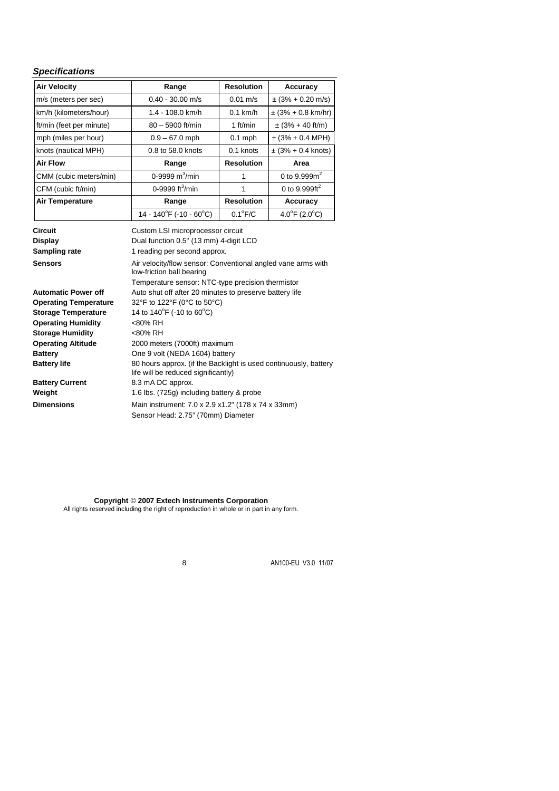## *Specifications*

| <b>Air Velocity</b>                                        | Range                                                                                                                                       | <b>Resolution</b>    | Accuracy                           |  |  |  |
|------------------------------------------------------------|---------------------------------------------------------------------------------------------------------------------------------------------|----------------------|------------------------------------|--|--|--|
| m/s (meters per sec)                                       | $0.40 - 30.00$ m/s                                                                                                                          | $0.01 \text{ m/s}$   | $\pm$ (3% + 0.20 m/s)              |  |  |  |
| km/h (kilometers/hour)                                     | 1.4 - 108.0 km/h                                                                                                                            | $0.1$ km/h           | $\pm$ (3% + 0.8 km/hr)             |  |  |  |
| ft/min (feet per minute)                                   | 80 - 5900 ft/min                                                                                                                            | 1 ft/min             | $\pm$ (3% + 40 ft/m)               |  |  |  |
| mph (miles per hour)                                       | $0.9 - 67.0$ mph                                                                                                                            | $0.1$ mph            | $\pm$ (3% + 0.4 MPH)               |  |  |  |
| knots (nautical MPH)                                       | 0.8 to 58.0 knots                                                                                                                           | 0.1 knots            | $\pm (3\% + 0.4 \text{ knots})$    |  |  |  |
| <b>Air Flow</b>                                            | Range                                                                                                                                       | <b>Resolution</b>    | Area                               |  |  |  |
| CMM (cubic meters/min)                                     | 0-9999 $m^3/m$ in                                                                                                                           | 0 to $9.999m^2$<br>1 |                                    |  |  |  |
| CFM (cubic ft/min)                                         | 0-9999 ft <sup>3</sup> /min                                                                                                                 | 1                    | 0 to 9.999 $ft^2$                  |  |  |  |
| <b>Air Temperature</b>                                     | Range                                                                                                                                       | <b>Resolution</b>    | Accuracy                           |  |  |  |
|                                                            | 14 - 140°F (-10 - 60°C)                                                                                                                     | $0.1^{\circ}$ F/C    | $4.0^{\circ}$ F (2.0 $^{\circ}$ C) |  |  |  |
| <b>Circuit</b><br><b>Display</b><br>Sampling rate          | Custom LSI microprocessor circuit<br>Dual function 0.5" (13 mm) 4-digit LCD<br>1 reading per second approx.                                 |                      |                                    |  |  |  |
| <b>Sensors</b>                                             | Air velocity/flow sensor: Conventional angled vane arms with<br>low-friction ball bearing                                                   |                      |                                    |  |  |  |
| <b>Automatic Power off</b><br><b>Operating Temperature</b> | Temperature sensor: NTC-type precision thermistor<br>Auto shut off after 20 minutes to preserve battery life<br>32°F to 122°F (0°C to 50°C) |                      |                                    |  |  |  |

**Operating Temperature** 32°F to 122°F (0°C to 50°C) **Storage Temperature** 14 to  $140^{\circ}$ F (-10 to  $60^{\circ}$ C) **Operating Humidity** <80% RH **Storage Humidity** <80% RH **Operating Altitude** 2000 meters (7000ft) maximum **Battery** One 9 volt (NEDA 1604) battery **Battery life** 80 hours approx. (if the Backlight is used continuously, battery life will be reduced significantly) **Battery Current** 8.3 mA DC approx. **Weight** 1.6 lbs. (725g) including battery & probe **Dimensions** Main instrument: 7.0 x 2.9 x1.2" (178 x 74 x 33mm) Sensor Head: 2.75" (70mm) Diameter

> **Copyright** © **2007 Extech Instruments Corporation** All rights reserved including the right of reproduction in whole or in part in any form.